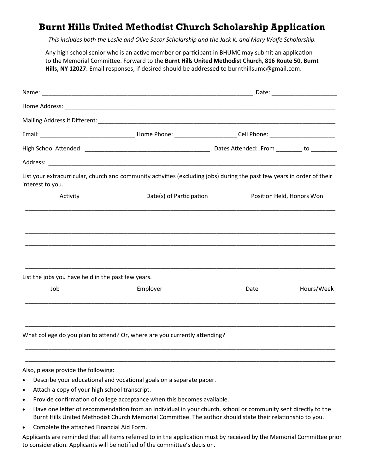## **Burnt Hills United Methodist Church Scholarship Application**

*This includes both the Leslie and Olive Secor Scholarship and the Jack K. and Mary Wolfe Scholarship.*

Any high school senior who is an active member or participant in BHUMC may submit an application to the Memorial Committee. Forward to the **Burnt Hills United Methodist Church, 816 Route 50, Burnt Hills, NY 12027**. Email responses, if desired should be addressed to burnthillsumc@gmail.com.

| interest to you.                                   | List your extracurricular, church and community activities (excluding jobs) during the past few years in order of their |                           |            |  |
|----------------------------------------------------|-------------------------------------------------------------------------------------------------------------------------|---------------------------|------------|--|
| Activity                                           | Date(s) of Participation                                                                                                | Position Held, Honors Won |            |  |
|                                                    |                                                                                                                         |                           |            |  |
|                                                    |                                                                                                                         |                           |            |  |
|                                                    |                                                                                                                         |                           |            |  |
|                                                    |                                                                                                                         |                           |            |  |
|                                                    |                                                                                                                         |                           |            |  |
| List the jobs you have held in the past few years. |                                                                                                                         |                           |            |  |
| Job                                                | Employer                                                                                                                | Date                      | Hours/Week |  |
|                                                    |                                                                                                                         |                           |            |  |
|                                                    |                                                                                                                         |                           |            |  |
|                                                    | What college do you plan to attend? Or, where are you currently attending?                                              |                           |            |  |

## Also, please provide the following:

- Describe your educational and vocational goals on a separate paper.
- Attach a copy of your high school transcript.
- Provide confirmation of college acceptance when this becomes available.
- Have one letter of recommendation from an individual in your church, school or community sent directly to the Burnt Hills United Methodist Church Memorial Committee. The author should state their relationship to you.

\_\_\_\_\_\_\_\_\_\_\_\_\_\_\_\_\_\_\_\_\_\_\_\_\_\_\_\_\_\_\_\_\_\_\_\_\_\_\_\_\_\_\_\_\_\_\_\_\_\_\_\_\_\_\_\_\_\_\_\_\_\_\_\_\_\_\_\_\_\_\_\_\_\_\_\_\_\_\_\_\_\_\_\_\_\_\_\_\_\_\_\_\_\_ \_\_\_\_\_\_\_\_\_\_\_\_\_\_\_\_\_\_\_\_\_\_\_\_\_\_\_\_\_\_\_\_\_\_\_\_\_\_\_\_\_\_\_\_\_\_\_\_\_\_\_\_\_\_\_\_\_\_\_\_\_\_\_\_\_\_\_\_\_\_\_\_\_\_\_\_\_\_\_\_\_\_\_\_\_\_\_\_\_\_\_\_\_\_

Complete the attached Financial Aid Form.

Applicants are reminded that all items referred to in the application must by received by the Memorial Committee prior to consideration. Applicants will be notified of the committee's decision.